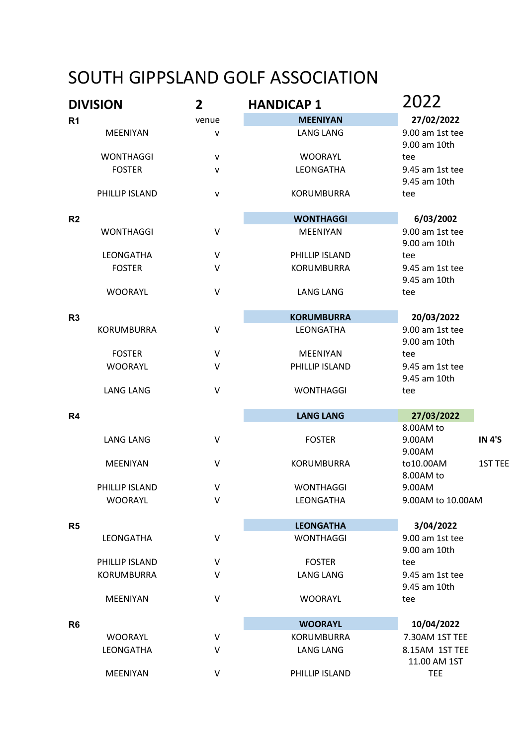## SOUTH GIPPSLAND GOLF ASSOCIATION

| <b>DIVISION</b>       | $\overline{2}$    | <b>HANDICAP 1</b> | 2022                                           |
|-----------------------|-------------------|-------------------|------------------------------------------------|
| R <sub>1</sub>        | venue             | <b>MEENIYAN</b>   | 27/02/2022                                     |
| <b>MEENIYAN</b>       | v                 | <b>LANG LANG</b>  | 9.00 am 1st tee<br>9.00 am 10th                |
| <b>WONTHAGGI</b>      | v                 | <b>WOORAYL</b>    | tee                                            |
| <b>FOSTER</b>         | $\mathsf{v}$      | LEONGATHA         | 9.45 am 1st tee<br>9.45 am 10th                |
| PHILLIP ISLAND        | $\mathsf{v}$      | <b>KORUMBURRA</b> | tee                                            |
| R <sub>2</sub>        |                   | <b>WONTHAGGI</b>  | 6/03/2002                                      |
| <b>WONTHAGGI</b>      | $\vee$            | <b>MEENIYAN</b>   | 9.00 am 1st tee<br>9.00 am 10th                |
| LEONGATHA             | $\vee$            | PHILLIP ISLAND    | tee                                            |
| <b>FOSTER</b>         | V                 | <b>KORUMBURRA</b> | 9.45 am 1st tee<br>9.45 am 10th                |
| <b>WOORAYL</b>        | $\vee$            | <b>LANG LANG</b>  | tee                                            |
| R <sub>3</sub>        | <b>KORUMBURRA</b> |                   | 20/03/2022                                     |
| <b>KORUMBURRA</b>     | $\sf V$           | LEONGATHA         | 9.00 am 1st tee<br>9.00 am 10th                |
| <b>FOSTER</b>         | $\vee$            | <b>MEENIYAN</b>   | tee                                            |
| <b>WOORAYL</b>        | V                 | PHILLIP ISLAND    | 9.45 am 1st tee<br>9.45 am 10th                |
| <b>LANG LANG</b>      | $\vee$            | <b>WONTHAGGI</b>  | tee                                            |
| R4                    |                   | <b>LANG LANG</b>  | 27/03/2022                                     |
| <b>LANG LANG</b>      | $\vee$            | <b>FOSTER</b>     | 8.00AM to<br><b>IN 4'S</b><br>9.00AM<br>9.00AM |
| <b>MEENIYAN</b>       | V                 | <b>KORUMBURRA</b> | to10.00AM<br>1ST TEE<br>8.00AM to              |
| <b>PHILLIP ISLAND</b> | V                 | <b>WONTHAGGI</b>  | 9.00AM                                         |
| <b>WOORAYL</b>        | V                 | <b>LEONGATHA</b>  | 9.00AM to 10.00AM                              |
| R <sub>5</sub>        |                   | <b>LEONGATHA</b>  | 3/04/2022                                      |
| LEONGATHA             | $\sf V$           | <b>WONTHAGGI</b>  | 9.00 am 1st tee<br>9.00 am 10th                |
| PHILLIP ISLAND        | V                 | <b>FOSTER</b>     | tee                                            |
| <b>KORUMBURRA</b>     | V                 | <b>LANG LANG</b>  | 9.45 am 1st tee<br>9.45 am 10th                |
| MEENIYAN              | $\vee$            | <b>WOORAYL</b>    | tee                                            |
| R <sub>6</sub>        |                   | <b>WOORAYL</b>    | 10/04/2022                                     |
| <b>WOORAYL</b>        | V                 | KORUMBURRA        | 7.30AM 1ST TEE                                 |
| LEONGATHA             | V                 | <b>LANG LANG</b>  | 8.15AM 1ST TEE<br>11.00 AM 1ST                 |
| MEENIYAN              | V                 | PHILLIP ISLAND    | <b>TEE</b>                                     |